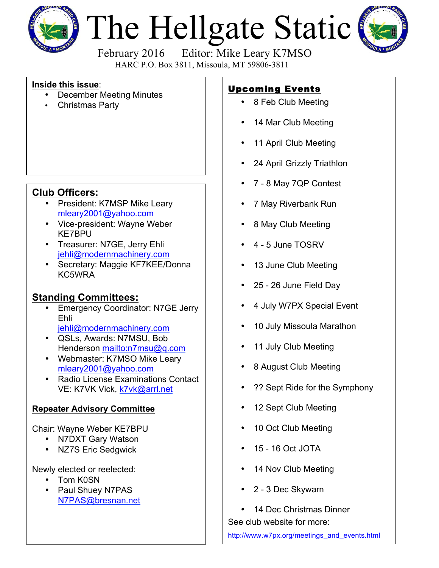

# The Hellgate Static



February 2016 Editor: Mike Leary K7MSO HARC P.O. Box 3811, Missoula, MT 59806-3811

#### **Inside this issue**:

- December Meeting Minutes
- Christmas Party

### **Club Officers:**

- President: K7MSP Mike Leary mleary2001@yahoo.com
- Vice-president: Wayne Weber KE7BPU
- Treasurer: N7GE, Jerry Ehli jehli@modernmachinery.com
- Secretary: Maggie KF7KEE/Donna KC5WRA

### **Standing Committees:**

- Emergency Coordinator: N7GE Jerry Ehli jehli@modernmachinery.com
- QSLs, Awards: N7MSU, Bob Henderson mailto:n7msu@q.com
- Webmaster: K7MSO Mike Leary mleary2001@yahoo.com
- Radio License Examinations Contact VE: K7VK Vick, k7vk@arrl.net

#### **Repeater Advisory Committee**

Chair: Wayne Weber KE7BPU

- N7DXT Gary Watson
- NZ7S Eric Sedgwick

Newly elected or reelected:

- Tom K0SN
- Paul Shuey N7PAS N7PAS@bresnan.net

## Upcoming Events

- 8 Feb Club Meeting
- 14 Mar Club Meeting
- 11 April Club Meeting
- 24 April Grizzly Triathlon
- 7 8 May 7QP Contest
- 7 May Riverbank Run
- 8 May Club Meeting
- 4 5 June TOSRV
- 13 June Club Meeting
- 25 26 June Field Day
- 4 July W7PX Special Event
- 10 July Missoula Marathon
- 11 July Club Meeting
- 8 August Club Meeting
- ?? Sept Ride for the Symphony
- 12 Sept Club Meeting
- 10 Oct Club Meeting
- 15 16 Oct JOTA
- 14 Nov Club Meeting
- 2 3 Dec Skywarn
- 14 Dec Christmas Dinner

See club website for more:

http://www.w7px.org/meetings\_and\_events.html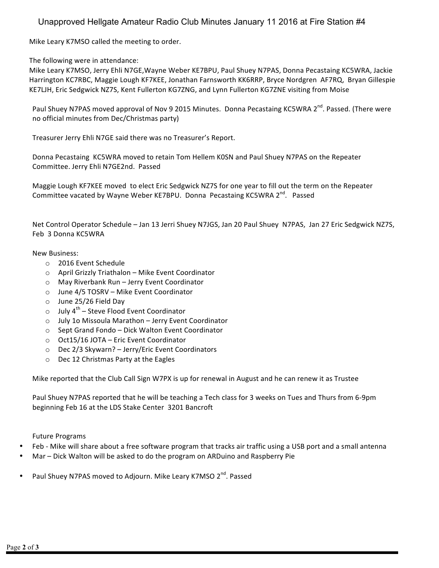#### Unapproved Hellgate Amateur Radio Club Minutes January 11 2016 at Fire Station #4

Mike Leary K7MSO called the meeting to order.

The following were in attendance:

Mike Leary K7MSO, Jerry Ehli N7GE, Wayne Weber KE7BPU, Paul Shuey N7PAS, Donna Pecastaing KC5WRA, Jackie Harrington KC7RBC, Maggie Lough KF7KEE, Jonathan Farnsworth KK6RRP, Bryce Nordgren AF7RQ, Bryan Gillespie KE7LJH, Eric Sedgwick NZ7S, Kent Fullerton KG7ZNG, and Lynn Fullerton KG7ZNE visiting from Moise

Paul Shuey N7PAS moved approval of Nov 9 2015 Minutes. Donna Pecastaing KC5WRA 2<sup>nd</sup>. Passed. (There were no official minutes from Dec/Christmas party)

Treasurer Jerry Ehli N7GE said there was no Treasurer's Report.

Donna Pecastaing KC5WRA moved to retain Tom Hellem K0SN and Paul Shuey N7PAS on the Repeater Committee. Jerry Ehli N7GE2nd. Passed

Maggie Lough KF7KEE moved to elect Eric Sedgwick NZ7S for one year to fill out the term on the Repeater Committee vacated by Wayne Weber KE7BPU. Donna Pecastaing KC5WRA 2<sup>nd</sup>. Passed

Net Control Operator Schedule - Jan 13 Jerri Shuey N7JGS, Jan 20 Paul Shuey N7PAS, Jan 27 Eric Sedgwick NZ7S, Feb 3 Donna KC5WRA

#### New Business:

- o 2016 Event Schedule
- $\circ$  April Grizzly Triathalon Mike Event Coordinator
- o May Riverbank Run Jerry Event Coordinator
- $\circ$  June 4/5 TOSRV Mike Event Coordinator
- $\circ$  June 25/26 Field Day
- o July  $4^{th}$  Steve Flood Event Coordinator
- o July 10 Missoula Marathon Jerry Event Coordinator
- o Sept Grand Fondo Dick Walton Event Coordinator
- $\circ$  Oct15/16 JOTA Eric Event Coordinator
- o Dec 2/3 Skywarn? Jerry/Eric Event Coordinators
- o Dec 12 Christmas Party at the Eagles

Mike reported that the Club Call Sign W7PX is up for renewal in August and he can renew it as Trustee

Paul Shuey N7PAS reported that he will be teaching a Tech class for 3 weeks on Tues and Thurs from 6-9pm beginning Feb 16 at the LDS Stake Center 3201 Bancroft

Future Programs

- Feb Mike will share about a free software program that tracks air traffic using a USB port and a small antenna
- Mar Dick Walton will be asked to do the program on ARDuino and Raspberry Pie
- Paul Shuey N7PAS moved to Adjourn. Mike Leary K7MSO 2<sup>nd</sup>. Passed